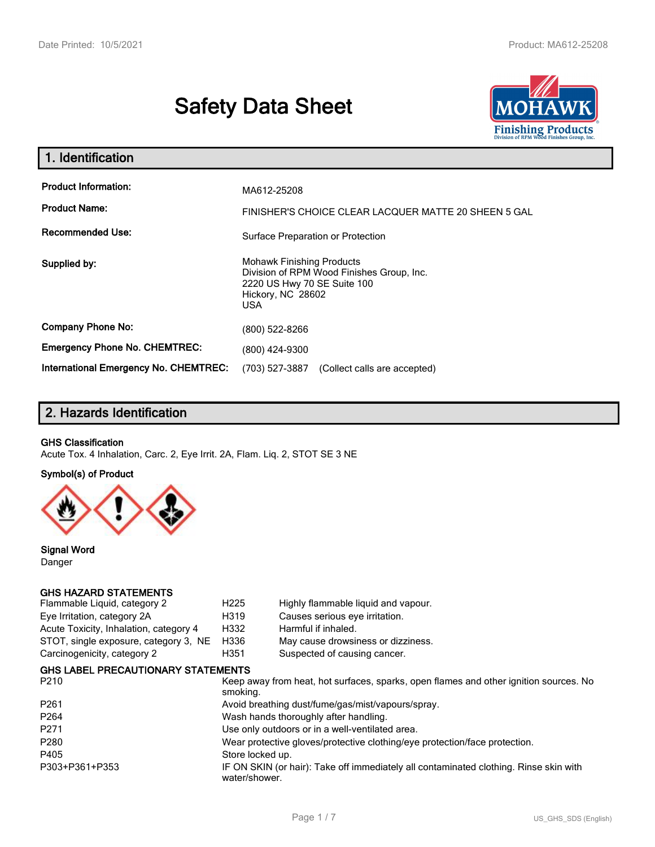# **Safety Data Sheet**



| 1. Identification                                                              |                                                                                                                                          |  |  |
|--------------------------------------------------------------------------------|------------------------------------------------------------------------------------------------------------------------------------------|--|--|
| <b>Product Information:</b><br><b>Product Name:</b><br><b>Recommended Use:</b> | MA612-25208<br>FINISHER'S CHOICE CLEAR LACQUER MATTE 20 SHEEN 5 GAL<br>Surface Preparation or Protection                                 |  |  |
| Supplied by:                                                                   | <b>Mohawk Finishing Products</b><br>Division of RPM Wood Finishes Group, Inc.<br>2220 US Hwy 70 SE Suite 100<br>Hickory, NC 28602<br>USA |  |  |
| <b>Company Phone No:</b>                                                       | (800) 522-8266                                                                                                                           |  |  |
| <b>Emergency Phone No. CHEMTREC:</b>                                           | (800) 424-9300                                                                                                                           |  |  |
| <b>International Emergency No. CHEMTREC:</b>                                   | (703) 527-3887<br>(Collect calls are accepted)                                                                                           |  |  |

# **2. Hazards Identification**

#### **GHS Classification**

Acute Tox. 4 Inhalation, Carc. 2, Eye Irrit. 2A, Flam. Liq. 2, STOT SE 3 NE

#### **Symbol(s) of Product**



**Signal Word** Danger

#### **GHS HAZARD STATEMENTS**

| Flammable Liquid, category 2              | H <sub>225</sub>                                                                                  | Highly flammable liquid and vapour.                                                   |  |  |  |
|-------------------------------------------|---------------------------------------------------------------------------------------------------|---------------------------------------------------------------------------------------|--|--|--|
| Eye Irritation, category 2A               | H319                                                                                              | Causes serious eye irritation.                                                        |  |  |  |
| Acute Toxicity, Inhalation, category 4    | H332                                                                                              | Harmful if inhaled.                                                                   |  |  |  |
| STOT, single exposure, category 3, NE     | H336                                                                                              | May cause drowsiness or dizziness.                                                    |  |  |  |
| Carcinogenicity, category 2               | H351                                                                                              | Suspected of causing cancer.                                                          |  |  |  |
| <b>GHS LABEL PRECAUTIONARY STATEMENTS</b> |                                                                                                   |                                                                                       |  |  |  |
| P <sub>210</sub>                          | Keep away from heat, hot surfaces, sparks, open flames and other ignition sources. No<br>smoking. |                                                                                       |  |  |  |
| P <sub>261</sub>                          | Avoid breathing dust/fume/gas/mist/vapours/spray.                                                 |                                                                                       |  |  |  |
| P <sub>264</sub>                          |                                                                                                   | Wash hands thoroughly after handling.                                                 |  |  |  |
| P <sub>271</sub>                          |                                                                                                   | Use only outdoors or in a well-ventilated area.                                       |  |  |  |
| P <sub>280</sub>                          | Wear protective gloves/protective clothing/eye protection/face protection.                        |                                                                                       |  |  |  |
| P405                                      | Store locked up.                                                                                  |                                                                                       |  |  |  |
| P303+P361+P353                            | water/shower.                                                                                     | IF ON SKIN (or hair): Take off immediately all contaminated clothing. Rinse skin with |  |  |  |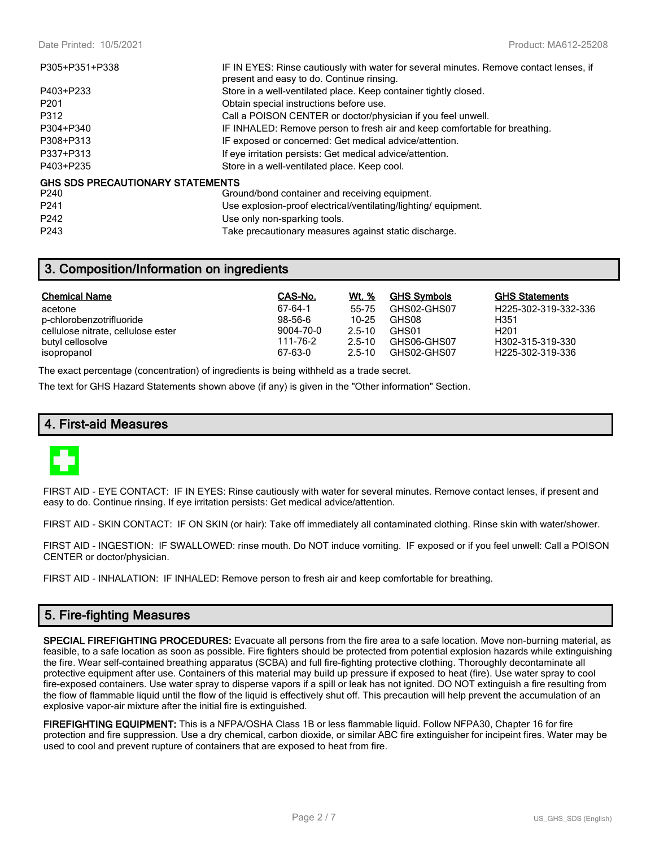| P305+P351+P338                   | IF IN EYES: Rinse cautiously with water for several minutes. Remove contact lenses, if<br>present and easy to do. Continue rinsing. |
|----------------------------------|-------------------------------------------------------------------------------------------------------------------------------------|
| P403+P233                        | Store in a well-ventilated place. Keep container tightly closed.                                                                    |
| P <sub>201</sub>                 | Obtain special instructions before use.                                                                                             |
| P312                             | Call a POISON CENTER or doctor/physician if you feel unwell.                                                                        |
| P304+P340                        | IF INHALED: Remove person to fresh air and keep comfortable for breathing.                                                          |
| P308+P313                        | IF exposed or concerned: Get medical advice/attention.                                                                              |
| P337+P313                        | If eye irritation persists: Get medical advice/attention.                                                                           |
| P403+P235                        | Store in a well-ventilated place. Keep cool.                                                                                        |
| GHS SDS PRECAUTIONARY STATEMENTS |                                                                                                                                     |
| P <sub>240</sub>                 | Ground/bond container and receiving equipment.                                                                                      |
| P <sub>241</sub>                 | Use explosion-proof electrical/ventilating/lighting/equipment.                                                                      |
| P <sub>242</sub>                 | Use only non-sparking tools.                                                                                                        |

**3. Composition/Information on ingredients**

| <b>Chemical Name</b>               | CAS-No.       | <u>Wt. %</u> | <b>GHS Symbols</b> | <b>GHS Statements</b>         |
|------------------------------------|---------------|--------------|--------------------|-------------------------------|
| acetone                            | 67-64-1       | 55-75        | GHS02-GHS07        | H225-302-319-332-336          |
| p-chlorobenzotrifluoride           | $98 - 56 - 6$ | $10 - 25$    | GHS08              | H351                          |
| cellulose nitrate, cellulose ester | 9004-70-0     | $2.5 - 10$   | GHS01              | H <sub>201</sub>              |
| butyl cellosolve                   | 111-76-2      | $2.5 - 10$   | GHS06-GHS07        | H302-315-319-330              |
| isopropanol                        | 67-63-0       | $2.5 - 10$   | GHS02-GHS07        | H <sub>225</sub> -302-319-336 |

The exact percentage (concentration) of ingredients is being withheld as a trade secret.

The text for GHS Hazard Statements shown above (if any) is given in the "Other information" Section.

P243 Take precautionary measures against static discharge.

## **4. First-aid Measures**



FIRST AID - EYE CONTACT: IF IN EYES: Rinse cautiously with water for several minutes. Remove contact lenses, if present and easy to do. Continue rinsing. If eye irritation persists: Get medical advice/attention.

FIRST AID - SKIN CONTACT: IF ON SKIN (or hair): Take off immediately all contaminated clothing. Rinse skin with water/shower.

FIRST AID - INGESTION: IF SWALLOWED: rinse mouth. Do NOT induce vomiting. IF exposed or if you feel unwell: Call a POISON CENTER or doctor/physician.

FIRST AID - INHALATION: IF INHALED: Remove person to fresh air and keep comfortable for breathing.

# **5. Fire-fighting Measures**

**SPECIAL FIREFIGHTING PROCEDURES:** Evacuate all persons from the fire area to a safe location. Move non-burning material, as feasible, to a safe location as soon as possible. Fire fighters should be protected from potential explosion hazards while extinguishing the fire. Wear self-contained breathing apparatus (SCBA) and full fire-fighting protective clothing. Thoroughly decontaminate all protective equipment after use. Containers of this material may build up pressure if exposed to heat (fire). Use water spray to cool fire-exposed containers. Use water spray to disperse vapors if a spill or leak has not ignited. DO NOT extinguish a fire resulting from the flow of flammable liquid until the flow of the liquid is effectively shut off. This precaution will help prevent the accumulation of an explosive vapor-air mixture after the initial fire is extinguished.

**FIREFIGHTING EQUIPMENT:** This is a NFPA/OSHA Class 1B or less flammable liquid. Follow NFPA30, Chapter 16 for fire protection and fire suppression. Use a dry chemical, carbon dioxide, or similar ABC fire extinguisher for incipeint fires. Water may be used to cool and prevent rupture of containers that are exposed to heat from fire.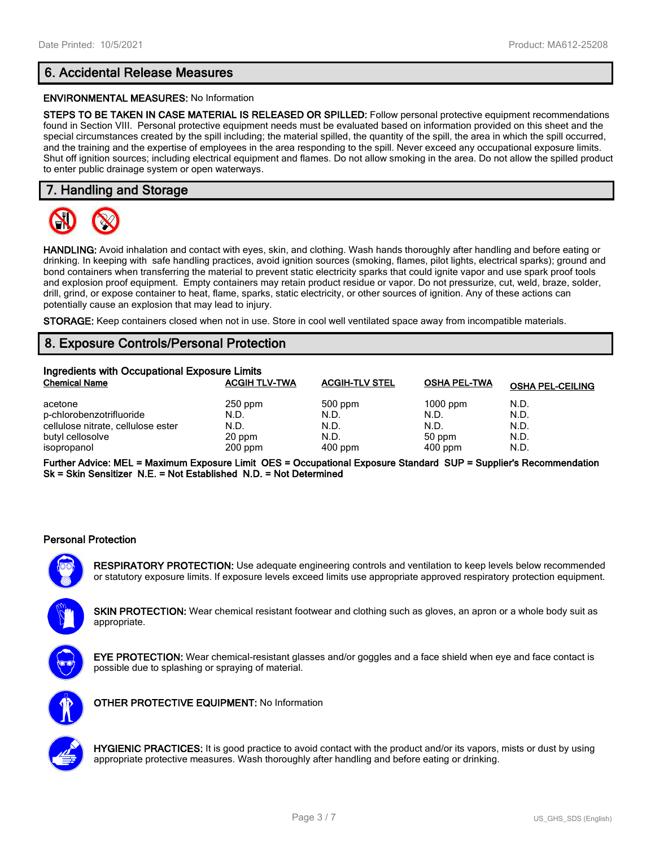# **6. Accidental Release Measures**

#### **ENVIRONMENTAL MEASURES:** No Information

**STEPS TO BE TAKEN IN CASE MATERIAL IS RELEASED OR SPILLED:** Follow personal protective equipment recommendations found in Section VIII. Personal protective equipment needs must be evaluated based on information provided on this sheet and the special circumstances created by the spill including; the material spilled, the quantity of the spill, the area in which the spill occurred, and the training and the expertise of employees in the area responding to the spill. Never exceed any occupational exposure limits. Shut off ignition sources; including electrical equipment and flames. Do not allow smoking in the area. Do not allow the spilled product to enter public drainage system or open waterways.

## **7. Handling and Storage**



**HANDLING:** Avoid inhalation and contact with eyes, skin, and clothing. Wash hands thoroughly after handling and before eating or drinking. In keeping with safe handling practices, avoid ignition sources (smoking, flames, pilot lights, electrical sparks); ground and bond containers when transferring the material to prevent static electricity sparks that could ignite vapor and use spark proof tools and explosion proof equipment. Empty containers may retain product residue or vapor. Do not pressurize, cut, weld, braze, solder, drill, grind, or expose container to heat, flame, sparks, static electricity, or other sources of ignition. Any of these actions can potentially cause an explosion that may lead to injury.

**STORAGE:** Keep containers closed when not in use. Store in cool well ventilated space away from incompatible materials.

## **8. Exposure Controls/Personal Protection**

| Ingredients with Occupational Exposure Limits |                      |                       |                     |                         |  |  |
|-----------------------------------------------|----------------------|-----------------------|---------------------|-------------------------|--|--|
| <b>Chemical Name</b>                          | <b>ACGIH TLV-TWA</b> | <b>ACGIH-TLV STEL</b> | <b>OSHA PEL-TWA</b> | <b>OSHA PEL-CEILING</b> |  |  |
| acetone                                       | $250$ ppm            | $500$ ppm             | $1000$ ppm          | N.D.                    |  |  |
| p-chlorobenzotrifluoride                      | N.D.                 | N.D.                  | N.D.                | N.D.                    |  |  |
| cellulose nitrate, cellulose ester            | N.D.                 | N.D.                  | N.D.                | N.D.                    |  |  |
| butyl cellosolve                              | 20 ppm               | N.D.                  | 50 ppm              | N.D.                    |  |  |
| isopropanol                                   | $200$ ppm            | $400$ ppm             | $400$ ppm           | N.D.                    |  |  |

**Further Advice: MEL = Maximum Exposure Limit OES = Occupational Exposure Standard SUP = Supplier's Recommendation Sk = Skin Sensitizer N.E. = Not Established N.D. = Not Determined**

#### **Personal Protection**



**RESPIRATORY PROTECTION:** Use adequate engineering controls and ventilation to keep levels below recommended or statutory exposure limits. If exposure levels exceed limits use appropriate approved respiratory protection equipment.

**SKIN PROTECTION:** Wear chemical resistant footwear and clothing such as gloves, an apron or a whole body suit as appropriate.



**EYE PROTECTION:** Wear chemical-resistant glasses and/or goggles and a face shield when eye and face contact is possible due to splashing or spraying of material.



**OTHER PROTECTIVE EQUIPMENT:** No Information



**HYGIENIC PRACTICES:** It is good practice to avoid contact with the product and/or its vapors, mists or dust by using appropriate protective measures. Wash thoroughly after handling and before eating or drinking.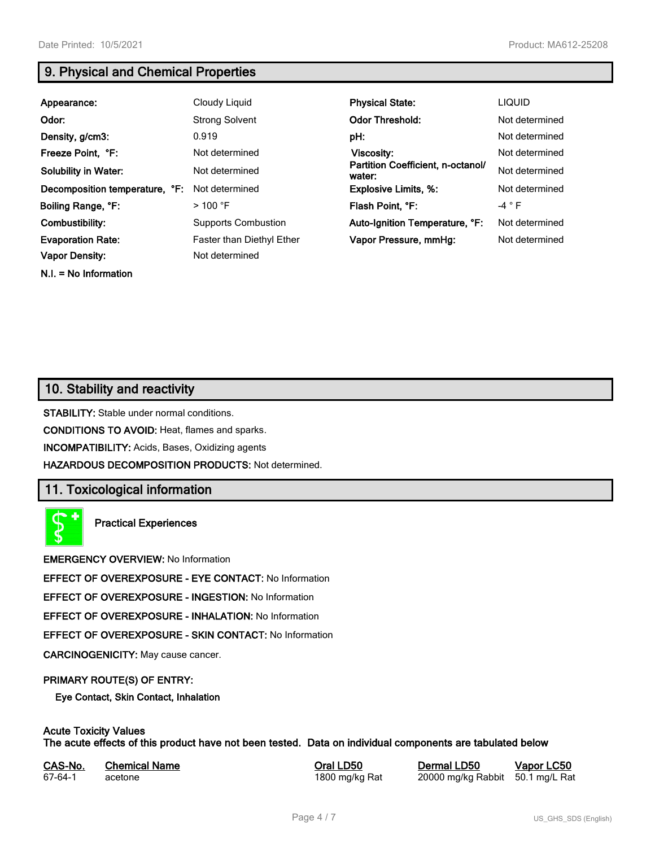**N.I. = No Information**

# **9. Physical and Chemical Properties**

| Appearance:                    | Cloudy Liquid              | <b>Physical State:</b>                      | <b>LIQUID</b>   |
|--------------------------------|----------------------------|---------------------------------------------|-----------------|
| Odor:                          | <b>Strong Solvent</b>      | <b>Odor Threshold:</b>                      | Not determined  |
| Density, g/cm3:                | 0.919                      | pH:                                         | Not determined  |
| Freeze Point, °F:              | Not determined             | <b>Viscosity:</b>                           | Not determined  |
| <b>Solubility in Water:</b>    | Not determined             | Partition Coefficient, n-octanol/<br>water: | Not determined  |
| Decomposition temperature, °F: | Not determined             | <b>Explosive Limits, %:</b>                 | Not determined  |
| Boiling Range, °F:             | $>100$ °F                  | Flash Point, °F:                            | -4 $^{\circ}$ F |
| Combustibility:                | <b>Supports Combustion</b> | Auto-Ignition Temperature, °F:              | Not determined  |
| <b>Evaporation Rate:</b>       | Faster than Diethyl Ether  | Vapor Pressure, mmHg:                       | Not determined  |
| <b>Vapor Density:</b>          | Not determined             |                                             |                 |

# **10. Stability and reactivity**

**STABILITY:** Stable under normal conditions.

**CONDITIONS TO AVOID:** Heat, flames and sparks.

**INCOMPATIBILITY:** Acids, Bases, Oxidizing agents

**HAZARDOUS DECOMPOSITION PRODUCTS:** Not determined.

## **11. Toxicological information**

**Practical Experiences**

**EMERGENCY OVERVIEW:** No Information

**EFFECT OF OVEREXPOSURE - EYE CONTACT:** No Information

**EFFECT OF OVEREXPOSURE - INGESTION:** No Information

**EFFECT OF OVEREXPOSURE - INHALATION:** No Information

**EFFECT OF OVEREXPOSURE - SKIN CONTACT:** No Information

**CARCINOGENICITY:** May cause cancer.

#### **PRIMARY ROUTE(S) OF ENTRY:**

**Eye Contact, Skin Contact, Inhalation**

## **Acute Toxicity Values**

**The acute effects of this product have not been tested. Data on individual components are tabulated below**

| CAS-No. | <b>Chemical Name</b> |  |
|---------|----------------------|--|
| 67-64-1 | acetone              |  |

**CAS-No. Chemical Name Oral LD50 Dermal LD50 Vapor LC50**

800 mg/kg Rat 20000 mg/kg Rabbit 50.1 mg/L Rat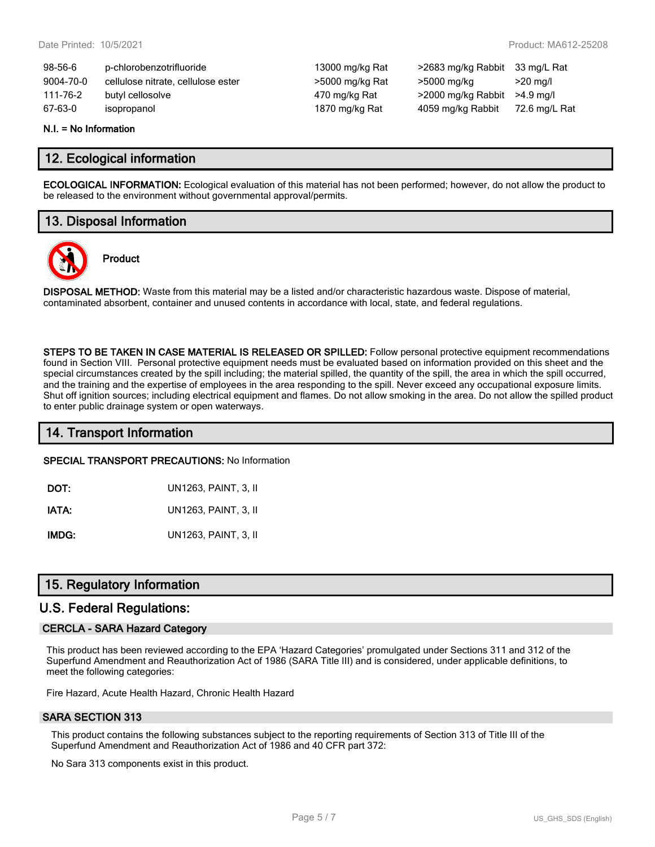| $98-56-6$ | p-chlorobenzotrifluoride           |
|-----------|------------------------------------|
| 9004-70-0 | cellulose nitrate, cellulose ester |
| 111-76-2  | butyl cellosolve                   |
| 67-63-0   | isopropanol                        |

13000 mg/kg Rat >2683 mg/kg Rabbit 33 mg/L Rat >5000 mg/kg Rat >5000 mg/kg >20 mg/l 170 mg/kg Rat >2000 mg/kg Rabbit >4.9 mg/l 1870 mg/kg Rat 4059 mg/kg Rabbit 72.6 mg/L Rat

#### **N.I. = No Information**

## **12. Ecological information**

**ECOLOGICAL INFORMATION:** Ecological evaluation of this material has not been performed; however, do not allow the product to be released to the environment without governmental approval/permits.

# **13. Disposal Information**

**Product**



**DISPOSAL METHOD:** Waste from this material may be a listed and/or characteristic hazardous waste. Dispose of material, contaminated absorbent, container and unused contents in accordance with local, state, and federal regulations.

**STEPS TO BE TAKEN IN CASE MATERIAL IS RELEASED OR SPILLED:** Follow personal protective equipment recommendations found in Section VIII. Personal protective equipment needs must be evaluated based on information provided on this sheet and the special circumstances created by the spill including; the material spilled, the quantity of the spill, the area in which the spill occurred, and the training and the expertise of employees in the area responding to the spill. Never exceed any occupational exposure limits. Shut off ignition sources; including electrical equipment and flames. Do not allow smoking in the area. Do not allow the spilled product to enter public drainage system or open waterways.

## **14. Transport Information**

**SPECIAL TRANSPORT PRECAUTIONS:** No Information

| DOT:  | UN1263, PAINT, 3, II |
|-------|----------------------|
| IATA: | UN1263, PAINT, 3, II |

**IMDG:** UN1263, PAINT, 3, II

## **15. Regulatory Information**

## **U.S. Federal Regulations:**

#### **CERCLA - SARA Hazard Category**

This product has been reviewed according to the EPA 'Hazard Categories' promulgated under Sections 311 and 312 of the Superfund Amendment and Reauthorization Act of 1986 (SARA Title III) and is considered, under applicable definitions, to meet the following categories:

Fire Hazard, Acute Health Hazard, Chronic Health Hazard

#### **SARA SECTION 313**

This product contains the following substances subject to the reporting requirements of Section 313 of Title III of the Superfund Amendment and Reauthorization Act of 1986 and 40 CFR part 372:

No Sara 313 components exist in this product.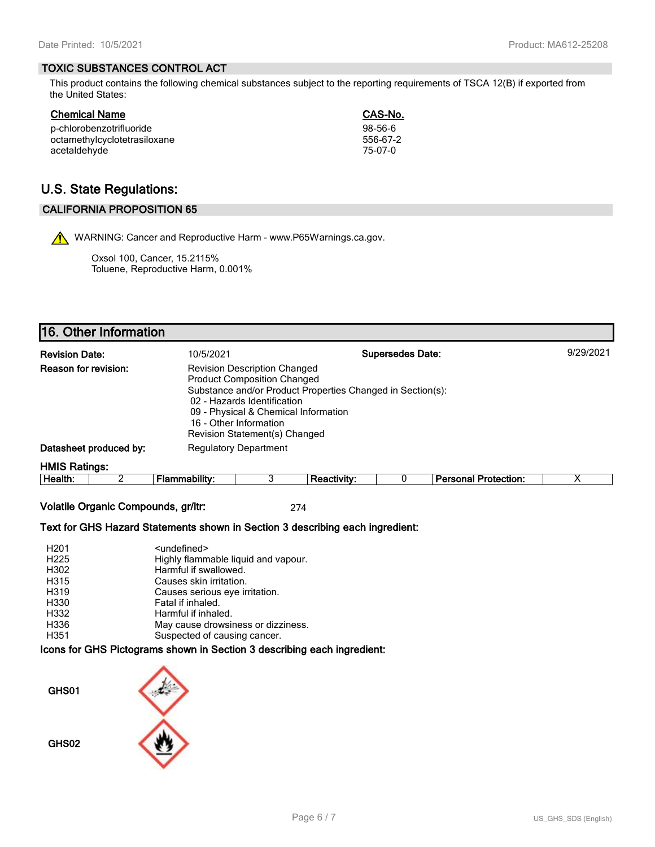#### **TOXIC SUBSTANCES CONTROL ACT**

This product contains the following chemical substances subject to the reporting requirements of TSCA 12(B) if exported from the United States:

| Chemical Name                | CAS-No.  |
|------------------------------|----------|
| p-chlorobenzotrifluoride     | 98-56-6  |
| octamethylcyclotetrasiloxane | 556-67-2 |
| acetaldehyde                 | 75-07-0  |

# **U.S. State Regulations:**

## **CALIFORNIA PROPOSITION 65**

WARNING: Cancer and Reproductive Harm - www.P65Warnings.ca.gov.

Oxsol 100, Cancer, 15.2115% Toluene, Reproductive Harm, 0.001%

# **16. Other Information**

| <b>Revision Date:</b>                                                                                                                                                                                                                                                                                    |                        | 10/5/2021     |                              |                    | <b>Supersedes Date:</b> |                             | 9/29/2021 |
|----------------------------------------------------------------------------------------------------------------------------------------------------------------------------------------------------------------------------------------------------------------------------------------------------------|------------------------|---------------|------------------------------|--------------------|-------------------------|-----------------------------|-----------|
| <b>Reason for revision:</b><br><b>Revision Description Changed</b><br><b>Product Composition Changed</b><br>Substance and/or Product Properties Changed in Section(s):<br>02 - Hazards Identification<br>09 - Physical & Chemical Information<br>16 - Other Information<br>Revision Statement(s) Changed |                        |               |                              |                    |                         |                             |           |
|                                                                                                                                                                                                                                                                                                          | Datasheet produced by: |               | <b>Regulatory Department</b> |                    |                         |                             |           |
| <b>HMIS Ratings:</b>                                                                                                                                                                                                                                                                                     |                        |               |                              |                    |                         |                             |           |
| Health:                                                                                                                                                                                                                                                                                                  |                        | Flammability: |                              | <b>Reactivity:</b> |                         | <b>Personal Protection:</b> | х         |

**Volatile Organic Compounds, gr/ltr:** 274

#### **Text for GHS Hazard Statements shown in Section 3 describing each ingredient:**

| H <sub>201</sub> | <undefined></undefined>             |
|------------------|-------------------------------------|
| H <sub>225</sub> | Highly flammable liquid and vapour. |
| H302             | Harmful if swallowed.               |
| H315             | Causes skin irritation.             |
| H319             | Causes serious eye irritation.      |
| H330             | Fatal if inhaled.                   |
| H332             | Harmful if inhaled.                 |
| H336             | May cause drowsiness or dizziness.  |
| H351             | Suspected of causing cancer.        |

#### **Icons for GHS Pictograms shown in Section 3 describing each ingredient:**